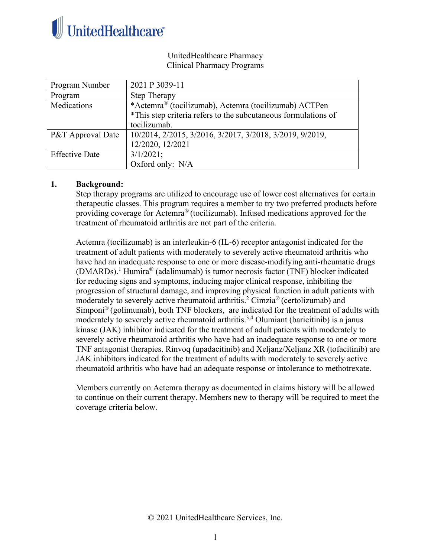

UnitedHealthcare Pharmacy Clinical Pharmacy Programs

| Program Number        | 2021 P 3039-11                                                 |
|-----------------------|----------------------------------------------------------------|
| Program               | <b>Step Therapy</b>                                            |
| Medications           | *Actemra® (tocilizumab), Actemra (tocilizumab) ACTPen          |
|                       | *This step criteria refers to the subcutaneous formulations of |
|                       | tocilizumab.                                                   |
| P&T Approval Date     | 10/2014, 2/2015, 3/2016, 3/2017, 3/2018, 3/2019, 9/2019,       |
|                       | 12/2020, 12/2021                                               |
| <b>Effective Date</b> | $3/1/2021$ ;                                                   |
|                       | Oxford only: N/A                                               |

#### **1. Background:**

Step therapy programs are utilized to encourage use of lower cost alternatives for certain therapeutic classes. This program requires a member to try two preferred products before providing coverage for Actemra® (tocilizumab). Infused medications approved for the treatment of rheumatoid arthritis are not part of the criteria.

Actemra (tocilizumab) is an interleukin-6 (IL-6) receptor antagonist indicated for the treatment of adult patients with moderately to severely active rheumatoid arthritis who have had an inadequate response to one or more disease-modifying anti-rheumatic drugs  $(DMARDs).$ <sup>1</sup> Humira<sup>®</sup> (adalimumab) is tumor necrosis factor (TNF) blocker indicated for reducing signs and symptoms, inducing major clinical response, inhibiting the progression of structural damage, and improving physical function in adult patients with moderately to severely active rheumatoid arthritis.<sup>2</sup> Cimzia<sup>®</sup> (certolizumab) and Simponi® (golimumab), both TNF blockers, are indicated for the treatment of adults with moderately to severely active rheumatoid arthritis.<sup>3,4</sup> Olumiant (baricitinib) is a janus kinase (JAK) inhibitor indicated for the treatment of adult patients with moderately to severely active rheumatoid arthritis who have had an inadequate response to one or more TNF antagonist therapies. Rinvoq (upadacitinib) and Xeljanz/Xeljanz XR (tofacitinib) are JAK inhibitors indicated for the treatment of adults with moderately to severely active rheumatoid arthritis who have had an adequate response or intolerance to methotrexate.

Members currently on Actemra therapy as documented in claims history will be allowed to continue on their current therapy. Members new to therapy will be required to meet the coverage criteria below.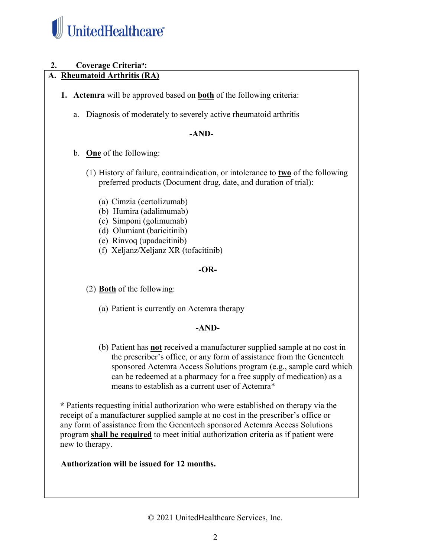

# **2. Coverage Criteriaa :**

# **A. Rheumatoid Arthritis (RA)**

- **1. Actemra** will be approved based on **both** of the following criteria:
	- a. Diagnosis of moderately to severely active rheumatoid arthritis

### **-AND-**

- b. **One** of the following:
	- (1) History of failure, contraindication, or intolerance to **two** of the following preferred products (Document drug, date, and duration of trial):
		- (a) Cimzia (certolizumab)
		- (b) Humira (adalimumab)
		- (c) Simponi (golimumab)
		- (d) Olumiant (baricitinib)
		- (e) Rinvoq (upadacitinib)
		- (f) Xeljanz/Xeljanz XR (tofacitinib)

## **-OR-**

(2) **Both** of the following:

(a) Patient is currently on Actemra therapy

## **-AND-**

(b) Patient has **not** received a manufacturer supplied sample at no cost in the prescriber's office, or any form of assistance from the Genentech sponsored Actemra Access Solutions program (e.g., sample card which can be redeemed at a pharmacy for a free supply of medication) as a means to establish as a current user of Actemra\*

**\*** Patients requesting initial authorization who were established on therapy via the receipt of a manufacturer supplied sample at no cost in the prescriber's office or any form of assistance from the Genentech sponsored Actemra Access Solutions program **shall be required** to meet initial authorization criteria as if patient were new to therapy.

**Authorization will be issued for 12 months.** 

© 2021 UnitedHealthcare Services, Inc.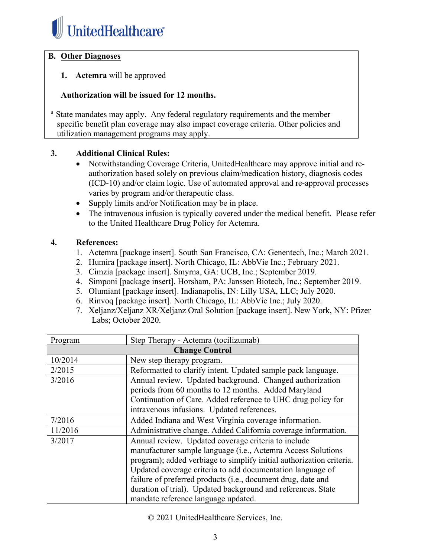

## **B. Other Diagnoses**

## **1. Actemra** will be approved

### **Authorization will be issued for 12 months.**

<sup>a</sup> State mandates may apply. Any federal regulatory requirements and the member specific benefit plan coverage may also impact coverage criteria. Other policies and utilization management programs may apply.

### **3. Additional Clinical Rules:**

- Notwithstanding Coverage Criteria, UnitedHealthcare may approve initial and reauthorization based solely on previous claim/medication history, diagnosis codes (ICD-10) and/or claim logic. Use of automated approval and re-approval processes varies by program and/or therapeutic class.
- Supply limits and/or Notification may be in place.
- The intravenous infusion is typically covered under the medical benefit. Please refer to the United Healthcare Drug Policy for Actemra.

### **4. References:**

- 1. Actemra [package insert]. South San Francisco, CA: Genentech, Inc.; March 2021.
- 2. Humira [package insert]. North Chicago, IL: AbbVie Inc.; February 2021.
- 3. Cimzia [package insert]. Smyrna, GA: UCB, Inc.; September 2019.
- 4. Simponi [package insert]. Horsham, PA: Janssen Biotech, Inc.; September 2019.
- 5. Olumiant [package insert]. Indianapolis, IN: Lilly USA, LLC; July 2020.
- 6. Rinvoq [package insert]. North Chicago, IL: AbbVie Inc.; July 2020.
- 7. Xeljanz/Xeljanz XR/Xeljanz Oral Solution [package insert]. New York, NY: Pfizer Labs; October 2020.

| Program               | Step Therapy - Actemra (tocilizumab)                                 |
|-----------------------|----------------------------------------------------------------------|
| <b>Change Control</b> |                                                                      |
| 10/2014               | New step therapy program.                                            |
| 2/2015                | Reformatted to clarify intent. Updated sample pack language.         |
| 3/2016                | Annual review. Updated background. Changed authorization             |
|                       | periods from 60 months to 12 months. Added Maryland                  |
|                       | Continuation of Care. Added reference to UHC drug policy for         |
|                       | intravenous infusions. Updated references.                           |
| 7/2016                | Added Indiana and West Virginia coverage information.                |
| 11/2016               | Administrative change. Added California coverage information.        |
| 3/2017                | Annual review. Updated coverage criteria to include                  |
|                       | manufacturer sample language (i.e., Actemra Access Solutions         |
|                       | program); added verbiage to simplify initial authorization criteria. |
|                       | Updated coverage criteria to add documentation language of           |
|                       | failure of preferred products (i.e., document drug, date and         |
|                       | duration of trial). Updated background and references. State         |
|                       | mandate reference language updated.                                  |

© 2021 UnitedHealthcare Services, Inc.